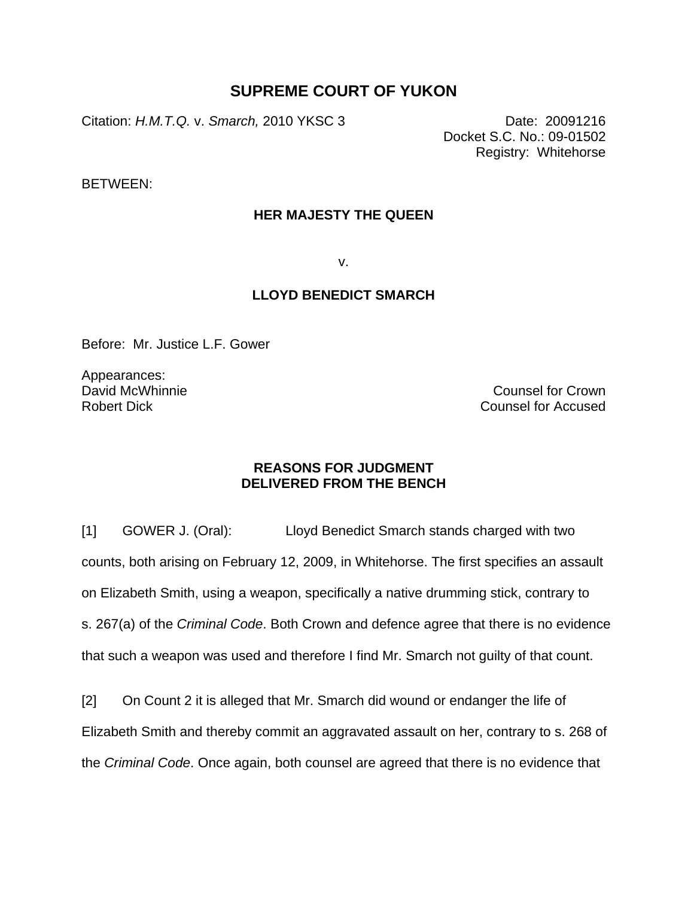## **SUPREME COURT OF YUKON**

Citation: *H.M.T.Q.* v. *Smarch,* 2010 YKSC 3 Date: 20091216

Docket S.C. No.: 09-01502 Registry: Whitehorse

BETWEEN:

## **HER MAJESTY THE QUEEN**

v.

## **LLOYD BENEDICT SMARCH**

Before: Mr. Justice L.F. Gower

Appearances: David McWhinnie Robert Dick

Counsel for Crown Counsel for Accused

## **REASONS FOR JUDGMENT DELIVERED FROM THE BENCH**

[1] GOWER J. (Oral): Lloyd Benedict Smarch stands charged with two counts, both arising on February 12, 2009, in Whitehorse. The first specifies an assault on Elizabeth Smith, using a weapon, specifically a native drumming stick, contrary to s. 267(a) of the *Criminal Code*. Both Crown and defence agree that there is no evidence that such a weapon was used and therefore I find Mr. Smarch not guilty of that count.

[2] On Count 2 it is alleged that Mr. Smarch did wound or endanger the life of Elizabeth Smith and thereby commit an aggravated assault on her, contrary to s. 268 of the *Criminal Code*. Once again, both counsel are agreed that there is no evidence that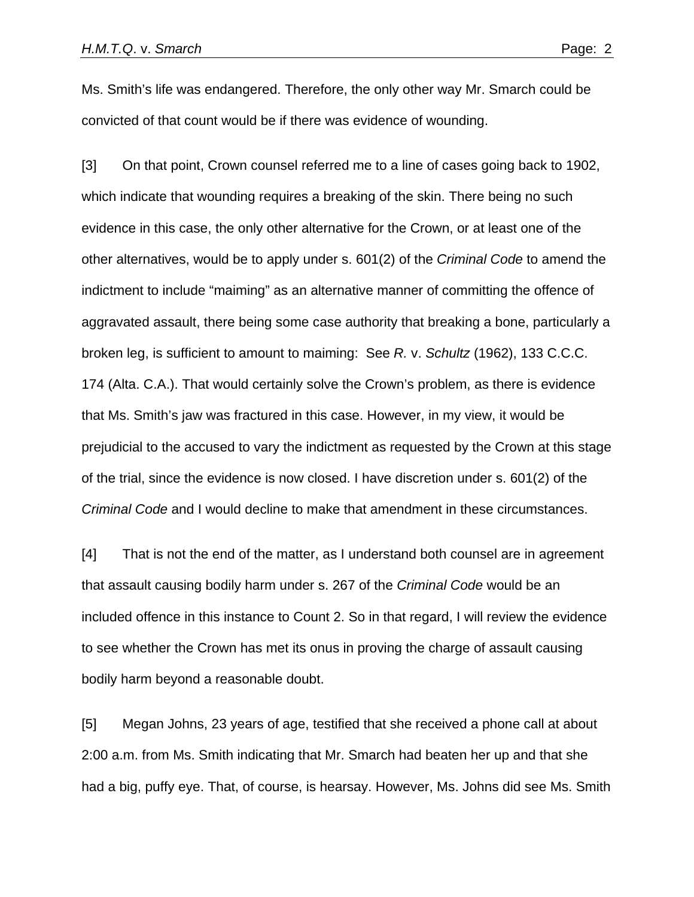Ms. Smith's life was endangered. Therefore, the only other way Mr. Smarch could be convicted of that count would be if there was evidence of wounding.

[3] On that point, Crown counsel referred me to a line of cases going back to 1902, which indicate that wounding requires a breaking of the skin. There being no such evidence in this case, the only other alternative for the Crown, or at least one of the other alternatives, would be to apply under s. 601(2) of the *Criminal Code* to amend the indictment to include "maiming" as an alternative manner of committing the offence of aggravated assault, there being some case authority that breaking a bone, particularly a broken leg, is sufficient to amount to maiming: See *R.* v. *Schultz* (1962), 133 C.C.C. 174 (Alta. C.A.). That would certainly solve the Crown's problem, as there is evidence that Ms. Smith's jaw was fractured in this case. However, in my view, it would be prejudicial to the accused to vary the indictment as requested by the Crown at this stage of the trial, since the evidence is now closed. I have discretion under s. 601(2) of the *Criminal Code* and I would decline to make that amendment in these circumstances.

[4] That is not the end of the matter, as I understand both counsel are in agreement that assault causing bodily harm under s. 267 of the *Criminal Code* would be an included offence in this instance to Count 2. So in that regard, I will review the evidence to see whether the Crown has met its onus in proving the charge of assault causing bodily harm beyond a reasonable doubt.

[5] Megan Johns, 23 years of age, testified that she received a phone call at about 2:00 a.m. from Ms. Smith indicating that Mr. Smarch had beaten her up and that she had a big, puffy eye. That, of course, is hearsay. However, Ms. Johns did see Ms. Smith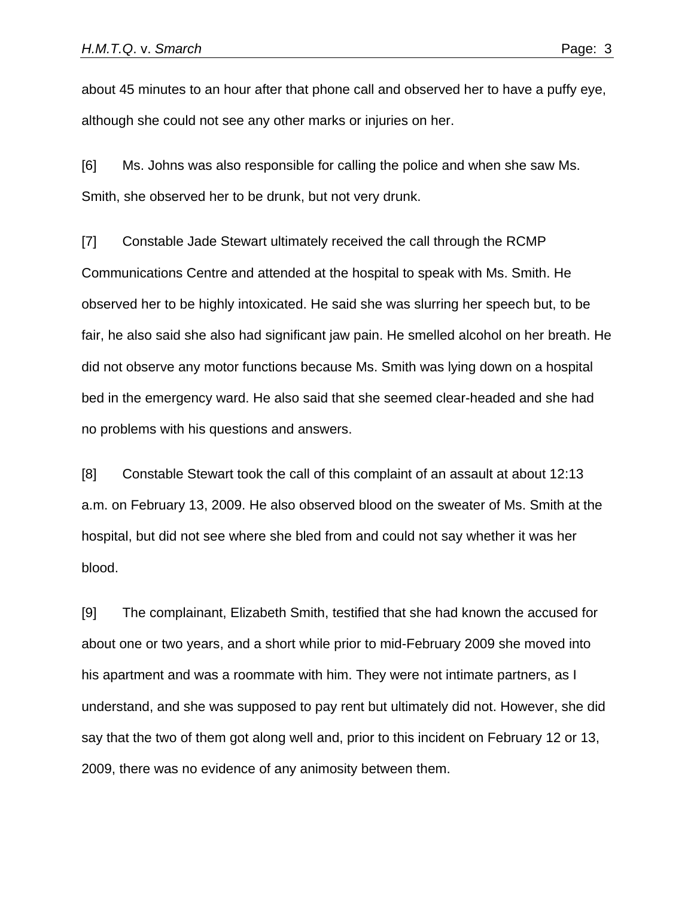about 45 minutes to an hour after that phone call and observed her to have a puffy eye, although she could not see any other marks or injuries on her.

[6] Ms. Johns was also responsible for calling the police and when she saw Ms. Smith, she observed her to be drunk, but not very drunk.

[7] Constable Jade Stewart ultimately received the call through the RCMP Communications Centre and attended at the hospital to speak with Ms. Smith. He observed her to be highly intoxicated. He said she was slurring her speech but, to be fair, he also said she also had significant jaw pain. He smelled alcohol on her breath. He did not observe any motor functions because Ms. Smith was lying down on a hospital bed in the emergency ward. He also said that she seemed clear-headed and she had no problems with his questions and answers.

[8] Constable Stewart took the call of this complaint of an assault at about 12:13 a.m. on February 13, 2009. He also observed blood on the sweater of Ms. Smith at the hospital, but did not see where she bled from and could not say whether it was her blood.

[9] The complainant, Elizabeth Smith, testified that she had known the accused for about one or two years, and a short while prior to mid-February 2009 she moved into his apartment and was a roommate with him. They were not intimate partners, as I understand, and she was supposed to pay rent but ultimately did not. However, she did say that the two of them got along well and, prior to this incident on February 12 or 13, 2009, there was no evidence of any animosity between them.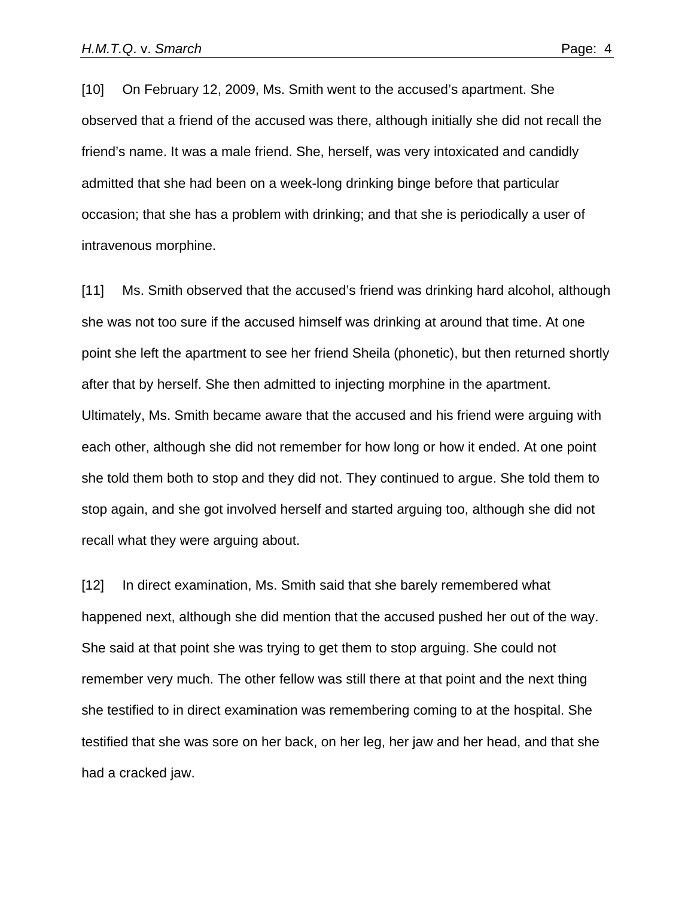[10] On February 12, 2009, Ms. Smith went to the accused's apartment. She observed that a friend of the accused was there, although initially she did not recall the friend's name. It was a male friend. She, herself, was very intoxicated and candidly admitted that she had been on a week-long drinking binge before that particular occasion; that she has a problem with drinking; and that she is periodically a user of intravenous morphine.

[11] Ms. Smith observed that the accused's friend was drinking hard alcohol, although she was not too sure if the accused himself was drinking at around that time. At one point she left the apartment to see her friend Sheila (phonetic), but then returned shortly after that by herself. She then admitted to injecting morphine in the apartment. Ultimately, Ms. Smith became aware that the accused and his friend were arguing with each other, although she did not remember for how long or how it ended. At one point she told them both to stop and they did not. They continued to argue. She told them to stop again, and she got involved herself and started arguing too, although she did not recall what they were arguing about.

[12] In direct examination, Ms. Smith said that she barely remembered what happened next, although she did mention that the accused pushed her out of the way. She said at that point she was trying to get them to stop arguing. She could not remember very much. The other fellow was still there at that point and the next thing she testified to in direct examination was remembering coming to at the hospital. She testified that she was sore on her back, on her leg, her jaw and her head, and that she had a cracked jaw.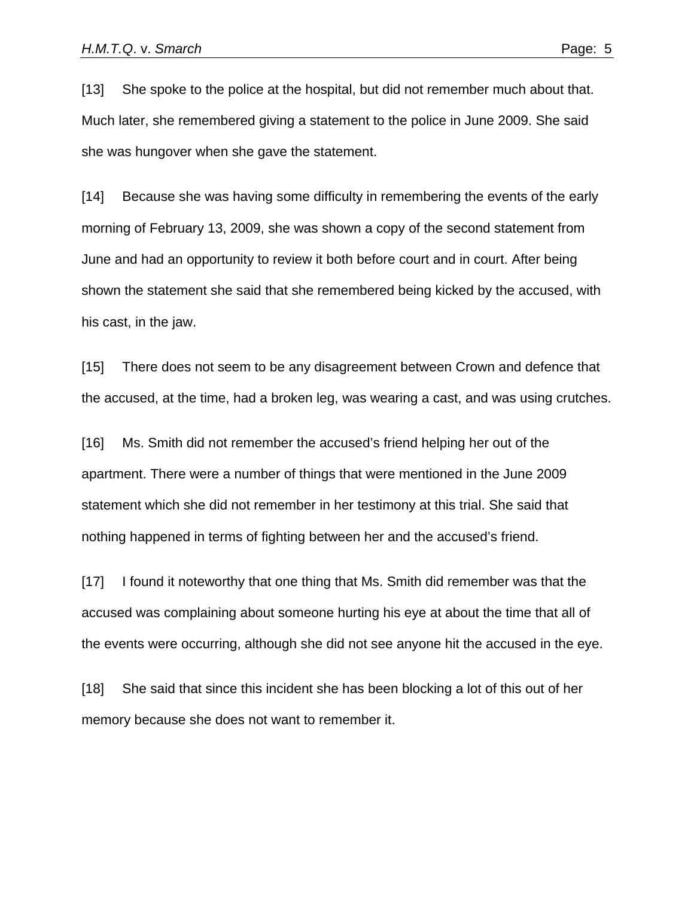[13] She spoke to the police at the hospital, but did not remember much about that. Much later, she remembered giving a statement to the police in June 2009. She said she was hungover when she gave the statement.

[14] Because she was having some difficulty in remembering the events of the early morning of February 13, 2009, she was shown a copy of the second statement from June and had an opportunity to review it both before court and in court. After being shown the statement she said that she remembered being kicked by the accused, with his cast, in the jaw.

[15] There does not seem to be any disagreement between Crown and defence that the accused, at the time, had a broken leg, was wearing a cast, and was using crutches.

[16] Ms. Smith did not remember the accused's friend helping her out of the apartment. There were a number of things that were mentioned in the June 2009 statement which she did not remember in her testimony at this trial. She said that nothing happened in terms of fighting between her and the accused's friend.

[17] I found it noteworthy that one thing that Ms. Smith did remember was that the accused was complaining about someone hurting his eye at about the time that all of the events were occurring, although she did not see anyone hit the accused in the eye.

[18] She said that since this incident she has been blocking a lot of this out of her memory because she does not want to remember it.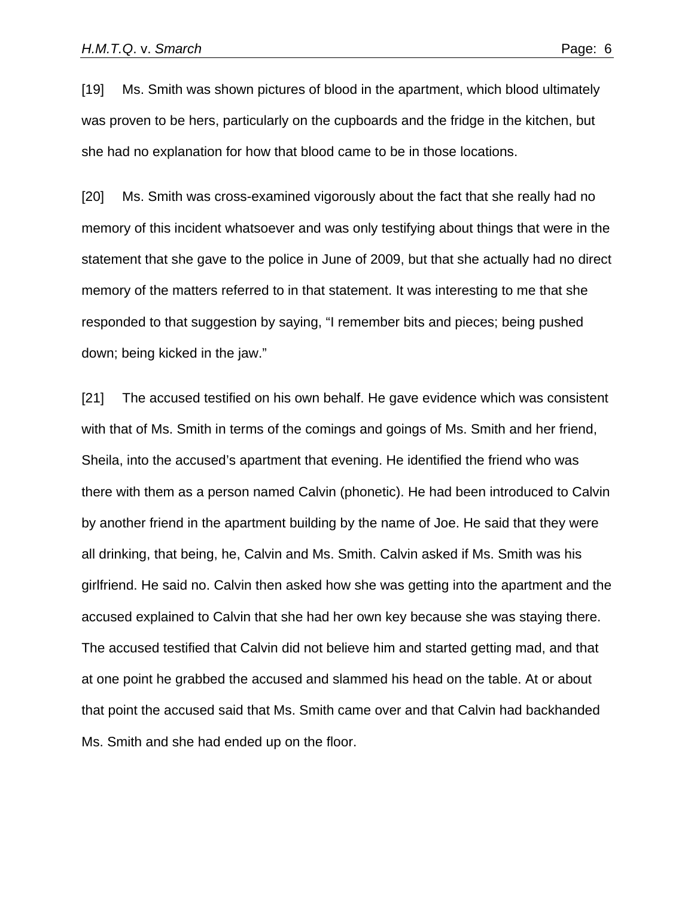[19] Ms. Smith was shown pictures of blood in the apartment, which blood ultimately was proven to be hers, particularly on the cupboards and the fridge in the kitchen, but she had no explanation for how that blood came to be in those locations.

[20] Ms. Smith was cross-examined vigorously about the fact that she really had no memory of this incident whatsoever and was only testifying about things that were in the statement that she gave to the police in June of 2009, but that she actually had no direct memory of the matters referred to in that statement. It was interesting to me that she responded to that suggestion by saying, "I remember bits and pieces; being pushed down; being kicked in the jaw."

[21] The accused testified on his own behalf. He gave evidence which was consistent with that of Ms. Smith in terms of the comings and goings of Ms. Smith and her friend, Sheila, into the accused's apartment that evening. He identified the friend who was there with them as a person named Calvin (phonetic). He had been introduced to Calvin by another friend in the apartment building by the name of Joe. He said that they were all drinking, that being, he, Calvin and Ms. Smith. Calvin asked if Ms. Smith was his girlfriend. He said no. Calvin then asked how she was getting into the apartment and the accused explained to Calvin that she had her own key because she was staying there. The accused testified that Calvin did not believe him and started getting mad, and that at one point he grabbed the accused and slammed his head on the table. At or about that point the accused said that Ms. Smith came over and that Calvin had backhanded Ms. Smith and she had ended up on the floor.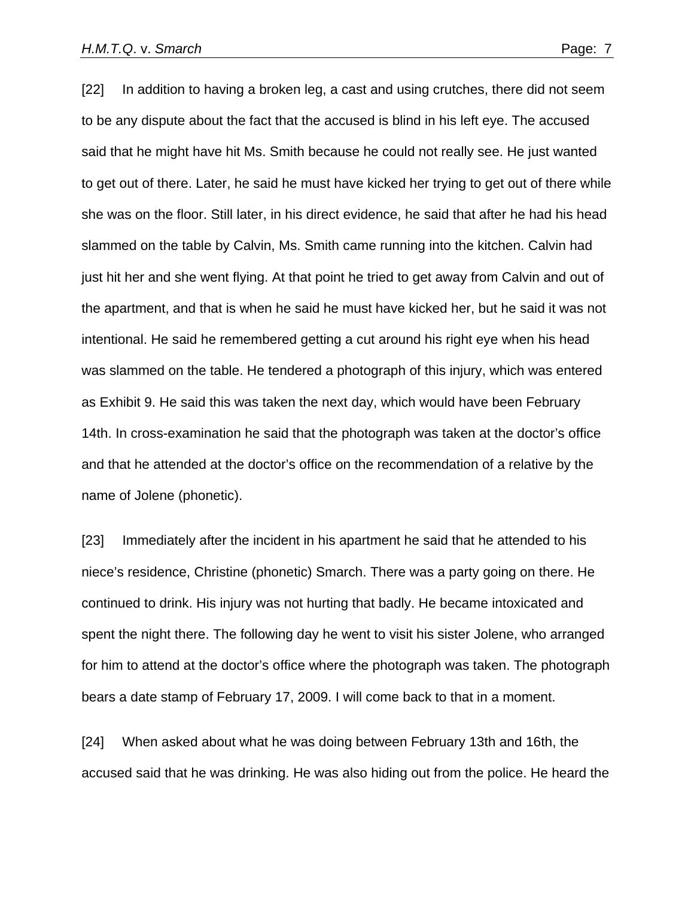[22] In addition to having a broken leg, a cast and using crutches, there did not seem to be any dispute about the fact that the accused is blind in his left eye. The accused said that he might have hit Ms. Smith because he could not really see. He just wanted to get out of there. Later, he said he must have kicked her trying to get out of there while she was on the floor. Still later, in his direct evidence, he said that after he had his head slammed on the table by Calvin, Ms. Smith came running into the kitchen. Calvin had just hit her and she went flying. At that point he tried to get away from Calvin and out of the apartment, and that is when he said he must have kicked her, but he said it was not intentional. He said he remembered getting a cut around his right eye when his head was slammed on the table. He tendered a photograph of this injury, which was entered as Exhibit 9. He said this was taken the next day, which would have been February 14th. In cross-examination he said that the photograph was taken at the doctor's office and that he attended at the doctor's office on the recommendation of a relative by the name of Jolene (phonetic).

[23] Immediately after the incident in his apartment he said that he attended to his niece's residence, Christine (phonetic) Smarch. There was a party going on there. He continued to drink. His injury was not hurting that badly. He became intoxicated and spent the night there. The following day he went to visit his sister Jolene, who arranged for him to attend at the doctor's office where the photograph was taken. The photograph bears a date stamp of February 17, 2009. I will come back to that in a moment.

[24] When asked about what he was doing between February 13th and 16th, the accused said that he was drinking. He was also hiding out from the police. He heard the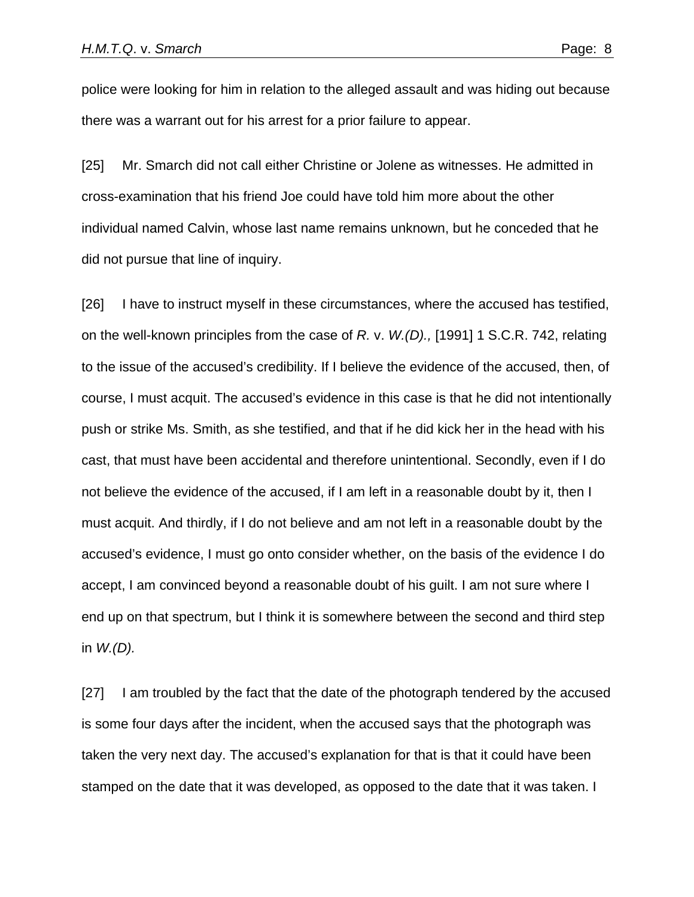police were looking for him in relation to the alleged assault and was hiding out because there was a warrant out for his arrest for a prior failure to appear.

[25] Mr. Smarch did not call either Christine or Jolene as witnesses. He admitted in cross-examination that his friend Joe could have told him more about the other individual named Calvin, whose last name remains unknown, but he conceded that he did not pursue that line of inquiry.

[26] I have to instruct myself in these circumstances, where the accused has testified, on the well-known principles from the case of *R.* v. *W.(D).,* [1991] 1 S.C.R. 742, relating to the issue of the accused's credibility. If I believe the evidence of the accused, then, of course, I must acquit. The accused's evidence in this case is that he did not intentionally push or strike Ms. Smith, as she testified, and that if he did kick her in the head with his cast, that must have been accidental and therefore unintentional. Secondly, even if I do not believe the evidence of the accused, if I am left in a reasonable doubt by it, then I must acquit. And thirdly, if I do not believe and am not left in a reasonable doubt by the accused's evidence, I must go onto consider whether, on the basis of the evidence I do accept, I am convinced beyond a reasonable doubt of his guilt. I am not sure where I end up on that spectrum, but I think it is somewhere between the second and third step in *W.(D).*

[27] I am troubled by the fact that the date of the photograph tendered by the accused is some four days after the incident, when the accused says that the photograph was taken the very next day. The accused's explanation for that is that it could have been stamped on the date that it was developed, as opposed to the date that it was taken. I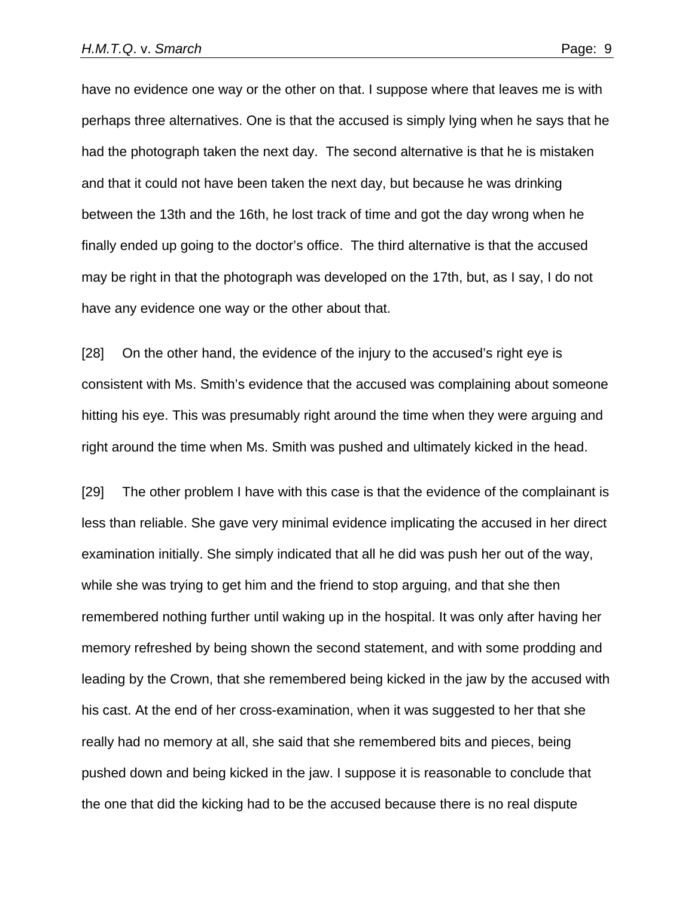have no evidence one way or the other on that. I suppose where that leaves me is with perhaps three alternatives. One is that the accused is simply lying when he says that he had the photograph taken the next day. The second alternative is that he is mistaken and that it could not have been taken the next day, but because he was drinking between the 13th and the 16th, he lost track of time and got the day wrong when he finally ended up going to the doctor's office. The third alternative is that the accused may be right in that the photograph was developed on the 17th, but, as I say, I do not have any evidence one way or the other about that.

[28] On the other hand, the evidence of the injury to the accused's right eye is consistent with Ms. Smith's evidence that the accused was complaining about someone hitting his eye. This was presumably right around the time when they were arguing and right around the time when Ms. Smith was pushed and ultimately kicked in the head.

[29] The other problem I have with this case is that the evidence of the complainant is less than reliable. She gave very minimal evidence implicating the accused in her direct examination initially. She simply indicated that all he did was push her out of the way, while she was trying to get him and the friend to stop arguing, and that she then remembered nothing further until waking up in the hospital. It was only after having her memory refreshed by being shown the second statement, and with some prodding and leading by the Crown, that she remembered being kicked in the jaw by the accused with his cast. At the end of her cross-examination, when it was suggested to her that she really had no memory at all, she said that she remembered bits and pieces, being pushed down and being kicked in the jaw. I suppose it is reasonable to conclude that the one that did the kicking had to be the accused because there is no real dispute